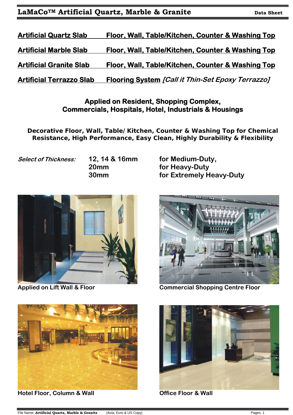| <b>Artificial Quartz Slab</b>  | Floor, Wall, Table/Kitchen, Counter & Washing Top |
|--------------------------------|---------------------------------------------------|
| <b>Artificial Marble Slab</b>  | Floor, Wall, Table/Kitchen, Counter & Washing Top |
| <b>Artificial Granite Slab</b> | Floor, Wall, Table/Kitchen, Counter & Washing Top |
|                                |                                                   |

**Artificial Terrazzo Slab Flooring System [Call it Thin-Set Epoxy Terrazzo]** 

## **Applied on Resident, Shopping Complex, Commercials, Hospitals, Hotel, Industrials & Housings**

**Decorative Floor, Wall, Table/Kitchen, Counter & Washing Top for Chemical Resistance, High Performance, Easy Clean, Highly Durability & Flexibility** 

Select of Thickness: **12, 14 & 16mm** for Medium-Duty,

**20mm for Heavy-Duty 30mm for Extremely Heavy-Duty** 





Applied on Lift Wall & Floor **Commercial Shopping Centre Floor** 



 **Hotel Floor, Column & Wall <b>Column Column Column Column Column Column Column Column Column Column Column Column Column Column Column Column Column Column Column Column Column Col** 

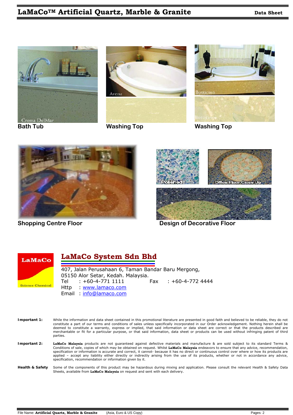





**Bath Tub Washing Top Washing Top** 





**Shopping Centre Floor Contract Contract Contract Contract Contract Design of Decorative Floor** 



#### **LaMaCo System Sdn Bhd**  ----------------------------------------------------------------------------------------------------------------------------------------------------------------------------------------------------------------------------------------------- -

407, Jalan Perusahaan 6, Taman Bandar Baru Mergong, 05150 Alor Setar, Kedah. Malaysia. Tel : +60-4-771 1111 Fax : +60-4-772 4444 Http : www.lamaco.com Email : info@lamaco.com

| Important 1: | While the information and data sheet contained in this promotional literature are presented in good faith and believed to be reliable, they do not<br>constitute a part of our terms and conditions of sales unless specifically incorporated in our Order acknowledgement. Nothing herein shall be<br>deemed to constitute a warranty, express or implied, that said information or data sheet are correct or that the products described are<br>merchantable or fit for a particular purpose, or that said information, data sheet or products can be used without infringing patent of third<br>parties.                                         |
|--------------|-----------------------------------------------------------------------------------------------------------------------------------------------------------------------------------------------------------------------------------------------------------------------------------------------------------------------------------------------------------------------------------------------------------------------------------------------------------------------------------------------------------------------------------------------------------------------------------------------------------------------------------------------------|
| Important 2: | LaMaCo Malaysia products are not guaranteed against defective materials and manufacture & are sold subject to its standard Terms &<br>Conditions of sale, copies of which may be obtained on request. Whilst LaMaCo Malaysia endeavors to ensure that any advice, recommendation,<br>specification or information is accurate and correct, it cannot- because it has no direct or continuous control over where or how its products are<br>applied - accept any liability either directly or indirectly arising from the use of its products, whether or not in accordance any advice,<br>specification, recommendation or information given by it. |
|              | Health & Safety Some of the components of this product may be bazardous during miving and application Please consult the relevant Health & Safety Data                                                                                                                                                                                                                                                                                                                                                                                                                                                                                              |

application. Please consult the relevant Health & Safety Sheets, available from **LaMaCo Malaysia** on request and sent with each delivery.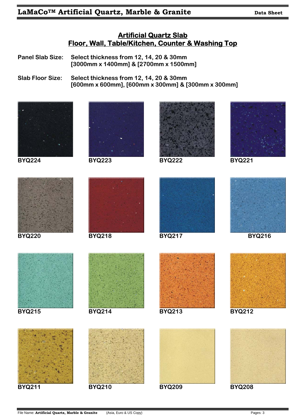### **Artificial Quartz Slab Floor, Wall, Table/Kitchen, Counter & Washing Top**

**Panel Slab Size: Select thickness from 12, 14, 20 & 30mm [3000mm x 1400mm] & [2700mm x 1500mm]** 

**Slab Floor Size: Select thickness from 12, 14, 20 & 30mm [600mm x 600mm], [600mm x 300mm] & [300mm x 300mm]** 

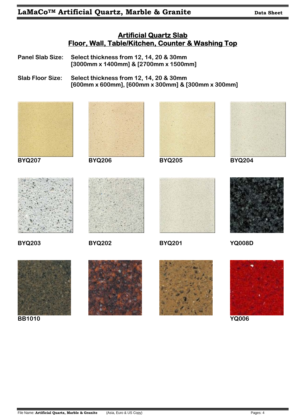# **Artificial Quartz Slab Floor, Wall, Table/Kitchen, Counter & Washing Top**

- **Panel Slab Size: Select thickness from 12, 14, 20 & 30mm [3000mm x 1400mm] & [2700mm x 1500mm]**
- **Slab Floor Size: Select thickness from 12, 14, 20 & 30mm [600mm x 600mm], [600mm x 300mm] & [300mm x 300mm]**



**BB1010 YQ006** 



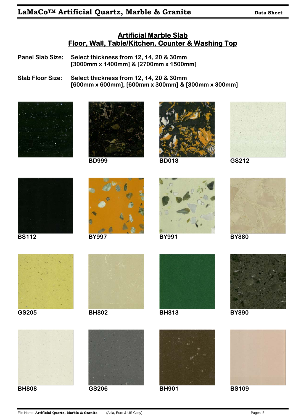### **Artificial Marble Slab Floor, Wall, Table/Kitchen, Counter & Washing Top**

**Panel Slab Size: Select thickness from 12, 14, 20 & 30mm [3000mm x 1400mm] & [2700mm x 1500mm]** 

**Slab Floor Size: Select thickness from 12, 14, 20 & 30mm [600mm x 600mm], [600mm x 300mm] & [300mm x 300mm]** 





















**GS205 BH802 BH813 BY890** 











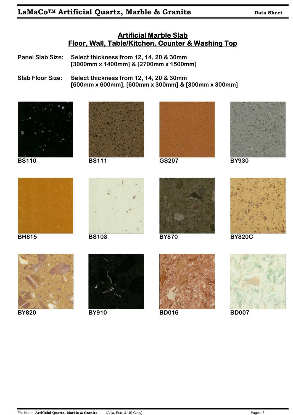### **Artificial Marble Slab Floor, Wall, Table/Kitchen, Counter & Washing Top**

**Panel Slab Size: Select thickness from 12, 14, 20 & 30mm [3000mm x 1400mm] & [2700mm x 1500mm]** 

**Slab Floor Size: Select thickness from 12, 14, 20 & 30mm [600mm x 600mm], [600mm x 300mm] & [300mm x 300mm]** 







**BS110 BS111 GS207 BY930** 

















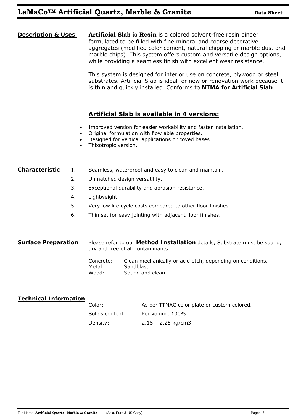**Description & Uses Artificial Slab** is **Resin** is a colored solvent-free resin binder formulated to be filled with fine mineral and coarse decorative aggregates (modified color cement, natural chipping or marble dust and marble chips). This system offers custom and versatile design options, while providing a seamless finish with excellent wear resistance.

> This system is designed for interior use on concrete, plywood or steel substrates. Artificial Slab is ideal for new or renovation work because it is thin and quickly installed. Conforms to **NTMA for Artificial Slab**.

#### **Artificial Slab is available in 4 versions:**

- Improved version for easier workability and faster installation.
- Original formulation with flow able properties.
- Designed for vertical applications or coved bases
- Thixotropic version.

#### **Characteristic** 1. Seamless, waterproof and easy to clean and maintain.

- 2. Unmatched design versatility.
- 3. Exceptional durability and abrasion resistance.
- 4. Lightweight
- 5. Very low life cycle costs compared to other floor finishes.
- 6. Thin set for easy jointing with adjacent floor finishes.

#### **Surface Preparation** Please refer to our **Method Installation** details, Substrate must be sound, dry and free of all contaminants.

Concrete: Clean mechanically or acid etch, depending on conditions. Metal: Sandblast. Wood: Sound and clean

#### **Technical Information**

| Color:          | As per TTMAC color plate or custom colored. |
|-----------------|---------------------------------------------|
| Solids content: | Per volume 100%                             |
| Density:        | $2.15 - 2.25$ kg/cm3                        |